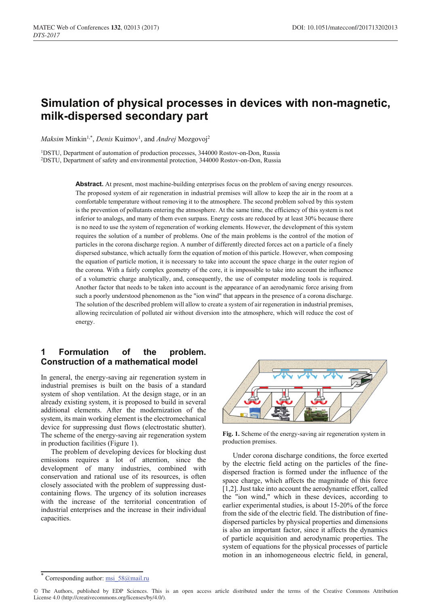# **Simulation of physical processes in devices with non-magnetic, milk-dispersed secondary part**

 $Maksim$  Minkin<sup>1,\*</sup>, *Denis* Kuimov<sup>1</sup>, and *Andrej* Mozgovoj<sup>2</sup>

<sup>1</sup>DSTU, Department of automation of production processes, 344000 Rostov-on-Don, Russia 2DSTU, Department of safety and environmental protection, 344000 Rostov-on-Don, Russia

> Abstract. At present, most machine-building enterprises focus on the problem of saving energy resources. The proposed system of air regeneration in industrial premises will allow to keep the air in the room at a comfortable temperature without removing it to the atmosphere. The second problem solved by this system is the prevention of pollutants entering the atmosphere. At the same time, the efficiency of this system is not inferior to analogs, and many of them even surpass. Energy costs are reduced by at least 30% because there is no need to use the system of regeneration of working elements. However, the development of this system requires the solution of a number of problems. One of the main problems is the control of the motion of particles in the corona discharge region. A number of differently directed forces act on a particle of a finely dispersed substance, which actually form the equation of motion of this particle. However, when composing the equation of particle motion, it is necessary to take into account the space charge in the outer region of the corona. With a fairly complex geometry of the core, it is impossible to take into account the influence of a volumetric charge analytically, and, consequently, the use of computer modeling tools is required. Another factor that needs to be taken into account is the appearance of an aerodynamic force arising from such a poorly understood phenomenon as the "ion wind" that appears in the presence of a corona discharge. The solution of the described problem will allow to create a system of air regeneration in industrial premises, allowing recirculation of polluted air without diversion into the atmosphere, which will reduce the cost of energy.

## **1 Formulation of the problem. Construction of a mathematical model**

In general, the energy-saving air regeneration system in industrial premises is built on the basis of a standard system of shop ventilation. At the design stage, or in an already existing system, it is proposed to build in several additional elements. After the modernization of the system, its main working element is the electromechanical device for suppressing dust flows (electrostatic shutter). The scheme of the energy-saving air regeneration system in production facilities (Figure 1).

The problem of developing devices for blocking dust emissions requires a lot of attention, since the development of many industries, combined with conservation and rational use of its resources, is often closely associated with the problem of suppressing dustcontaining flows. The urgency of its solution increases with the increase of the territorial concentration of industrial enterprises and the increase in their individual capacities.



**Fig. 1.** Scheme of the energy-saving air regeneration system in production premises.

Under corona discharge conditions, the force exerted by the electric field acting on the particles of the finedispersed fraction is formed under the influence of the space charge, which affects the magnitude of this force [1,2]. Just take into account the aerodynamic effort, called the "ion wind," which in these devices, according to earlier experimental studies, is about 15-20% of the force from the side of the electric field. The distribution of finedispersed particles by physical properties and dimensions is also an important factor, since it affects the dynamics of particle acquisition and aerodynamic properties. The system of equations for the physical processes of particle motion in an inhomogeneous electric field, in general,

Corresponding author: msi 58@mail.ru

<sup>©</sup> The Authors, published by EDP Sciences. This is an open access article distributed under the terms of the Creative Commons Attribution License 4.0 (http://creativecommons.org/licenses/by/4.0/).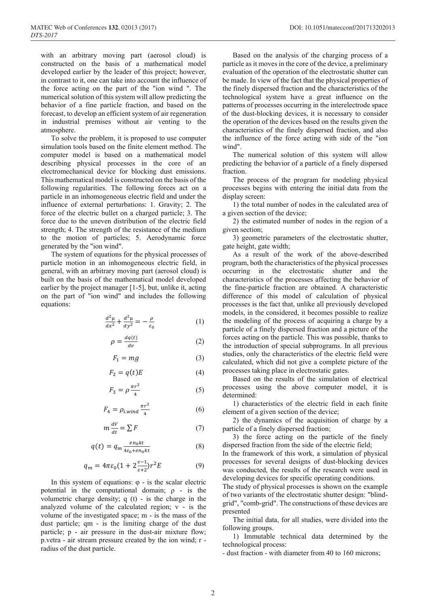with an arbitrary moving part (aerosol cloud) is constructed on the basis of a mathematical model developed earlier by the leader of this project; however, in contrast to it, one can take into account the influence of the force acting on the part of the "ion wind ". The numerical solution of this system will allow predicting the behavior of a fine particle fraction, and based on the forecast, to develop an efficient system of air regeneration in industrial premises without air venting to the atmosphere.

To solve the problem, it is proposed to use computer simulation tools based on the finite element method. The computer model is based on a mathematical model describing physical processes in the core of an electromechanical device for blocking dust emissions. This mathematical model is constructed on the basis of the following regularities. The following forces act on a particle in an inhomogeneous electric field and under the influence of external perturbations: 1. Gravity; 2. The force of the electric bullet on a charged particle; 3. The force due to the uneven distribution of the electric field strength; 4. The strength of the resistance of the medium to the motion of particles; 5. Aerodynamic force generated by the "ion wind".

The system of equations for the physical processes of particle motion in an inhomogeneous electric field, in general, with an arbitrary moving part (aerosol cloud) is built on the basis of the mathematical model developed earlier by the project manager [1-5], but, unlike it, acting on the part of "ion wind" and includes the following equations:

$$
\frac{d^2\mu}{dx^2} + \frac{d^2\mu}{dy^2} = -\frac{\rho}{\varepsilon_0} \tag{1}
$$

$$
\rho = \frac{dq(t)}{dv} \tag{2}
$$

$$
F_1 = mg \tag{3}
$$

$$
F_2 = q(t)E\tag{4}
$$

$$
F_3 = \rho \frac{\pi r^2}{4} \tag{5}
$$

$$
F_4 = \rho_{i,wind} \frac{\pi r^2}{4} \tag{6}
$$

$$
m\frac{dV}{dt} = \sum F
$$
 (7)

$$
q(t) = q_m \frac{e n_0 k t}{4\varepsilon_0 + e n_0 k t} \tag{8}
$$

$$
q_m = 4\pi\varepsilon_0 (1 + 2\frac{\varepsilon - 1}{\varepsilon + 2}) r^2 E \tag{9}
$$

In this system of equations:  $\varphi$  - is the scalar electric potential in the computational domain;  $\rho$  - is the volumetric charge density; q (t) - is the charge in the analyzed volume of the calculated region; v - is the volume of the investigated space; m - is the mass of the dust particle; qm - is the limiting charge of the dust particle; p - air pressure in the dust-air mixture flow; p.vetra - air stream pressure created by the ion wind; r radius of the dust particle.

Based on the analysis of the charging process of a particle as it moves in the core of the device, a preliminary evaluation of the operation of the electrostatic shutter can be made. In view of the fact that the physical properties of the finely dispersed fraction and the characteristics of the technological system have a great influence on the patterns of processes occurring in the interelectrode space of the dust-blocking devices, it is necessary to consider the operation of the devices based on the results given the characteristics of the finely dispersed fraction, and also the influence of the force acting with side of the "ion wind".

The numerical solution of this system will allow predicting the behavior of a particle of a finely dispersed fraction.

The process of the program for modeling physical processes begins with entering the initial data from the display screen:

1) the total number of nodes in the calculated area of a given section of the device;

2) the estimated number of nodes in the region of a given section;

3) geometric parameters of the electrostatic shutter, gate height, gate width;

As a result of the work of the above-described program, both the characteristics of the physical processes occurring in the electrostatic shutter and the characteristics of the processes affecting the behavior of the fine-particle fraction are obtained. A characteristic difference of this model of calculation of physical processes is the fact that, unlike all previously developed models, in the considered, it becomes possible to realize the modeling of the process of acquiring a charge by a particle of a finely dispersed fraction and a picture of the forces acting on the particle. This was possible, thanks to the introduction of special subprograms. In all previous studies, only the characteristics of the electric field were calculated, which did not give a complete picture of the processes taking place in electrostatic gates.

Based on the results of the simulation of electrical processes using the above computer model, it is determined:

1) characteristics of the electric field in each finite element of a given section of the device;

2) the dynamics of the acquisition of charge by a particle of a finely dispersed fraction;

3) the force acting on the particle of the finely dispersed fraction from the side of the electric field;

In the framework of this work, a simulation of physical processes for several designs of dust-blocking devices was conducted, the results of the research were used in developing devices for specific operating conditions.

The study of physical processes is shown on the example of two variants of the electrostatic shutter design: "blindgrid", "comb-grid". The constructions of these devices are presented

The initial data, for all studies, were divided into the following groups.

1) Immutable technical data determined by the technological process:

- dust fraction - with diameter from 40 to 160 microns;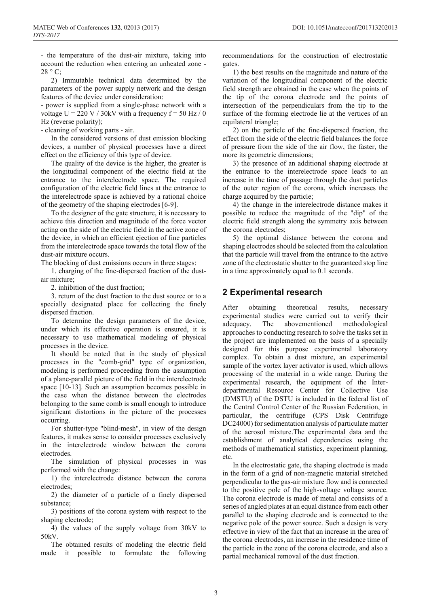- the temperature of the dust-air mixture, taking into account the reduction when entering an unheated zone -  $28 \degree$  C;

2) Immutable technical data determined by the parameters of the power supply network and the design features of the device under consideration:

- power is supplied from a single-phase network with a voltage U = 220 V / 30kV with a frequency  $f = 50$  Hz / 0 Hz (reverse polarity);

- cleaning of working parts - air.

In the considered versions of dust emission blocking devices, a number of physical processes have a direct effect on the efficiency of this type of device.

The quality of the device is the higher, the greater is the longitudinal component of the electric field at the entrance to the interelectrode space. The required configuration of the electric field lines at the entrance to the interelectrode space is achieved by a rational choice of the geometry of the shaping electrodes [6-9].

To the designer of the gate structure, it is necessary to achieve this direction and magnitude of the force vector acting on the side of the electric field in the active zone of the device, in which an efficient ejection of fine particles from the interelectrode space towards the total flow of the dust-air mixture occurs.

The blocking of dust emissions occurs in three stages:

1. charging of the fine-dispersed fraction of the dustair mixture;

2. inhibition of the dust fraction;

3. return of the dust fraction to the dust source or to a specially designated place for collecting the finely dispersed fraction.

To determine the design parameters of the device, under which its effective operation is ensured, it is necessary to use mathematical modeling of physical processes in the device.

It should be noted that in the study of physical processes in the "comb-grid" type of organization, modeling is performed proceeding from the assumption of a plane-parallel picture of the field in the interelectrode space [10-13]. Such an assumption becomes possible in the case when the distance between the electrodes belonging to the same comb is small enough to introduce significant distortions in the picture of the processes occurring.

For shutter-type "blind-mesh", in view of the design features, it makes sense to consider processes exclusively in the interelectrode window between the corona electrodes.

The simulation of physical processes in was performed with the change:

1) the interelectrode distance between the corona electrodes;

2) the diameter of a particle of a finely dispersed substance;

3) positions of the corona system with respect to the shaping electrode;

4) the values of the supply voltage from 30kV to 50kV.

The obtained results of modeling the electric field made it possible to formulate the following recommendations for the construction of electrostatic gates.

1) the best results on the magnitude and nature of the variation of the longitudinal component of the electric field strength are obtained in the case when the points of the tip of the corona electrode and the points of intersection of the perpendiculars from the tip to the surface of the forming electrode lie at the vertices of an equilateral triangle;

2) on the particle of the fine-dispersed fraction, the effect from the side of the electric field balances the force of pressure from the side of the air flow, the faster, the more its geometric dimensions;

3) the presence of an additional shaping electrode at the entrance to the interelectrode space leads to an increase in the time of passage through the dust particles of the outer region of the corona, which increases the charge acquired by the particle;

4) the change in the interelectrode distance makes it possible to reduce the magnitude of the "dip" of the electric field strength along the symmetry axis between the corona electrodes;

5) the optimal distance between the corona and shaping electrodes should be selected from the calculation that the particle will travel from the entrance to the active zone of the electrostatic shutter to the guaranteed stop line in a time approximately equal to 0.1 seconds.

#### **2 Experimental research**

After obtaining theoretical results, necessary experimental studies were carried out to verify their adequacy. The abovementioned methodological approaches to conducting research to solve the tasks set in the project are implemented on the basis of a specially designed for this purpose experimental laboratory complex. To obtain a dust mixture, an experimental sample of the vortex layer activator is used, which allows processing of the material in a wide range. During the experimental research, the equipment of the Interdepartmental Resource Center for Collective Use (DMSTU) of the DSTU is included in the federal list of the Central Control Center of the Russian Federation, in particular, the centrifuge (CPS Disk Centrifuge DC24000) for sedimentation analysis of particulate matter of the aerosol mixture.The experimental data and the establishment of analytical dependencies using the methods of mathematical statistics, experiment planning, etc.

In the electrostatic gate, the shaping electrode is made in the form of a grid of non-magnetic material stretched perpendicular to the gas-air mixture flow and is connected to the positive pole of the high-voltage voltage source. The corona electrode is made of metal and consists of a series of angled plates at an equal distance from each other parallel to the shaping electrode and is connected to the negative pole of the power source. Such a design is very effective in view of the fact that an increase in the area of the corona electrodes, an increase in the residence time of the particle in the zone of the corona electrode, and also a partial mechanical removal of the dust fraction.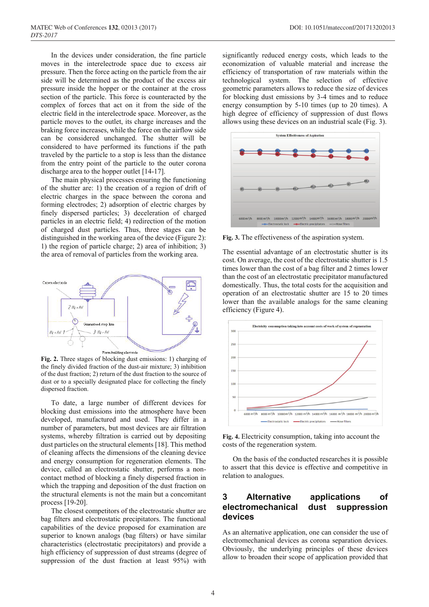In the devices under consideration, the fine particle moves in the interelectrode space due to excess air pressure. Then the force acting on the particle from the air side will be determined as the product of the excess air pressure inside the hopper or the container at the cross section of the particle. This force is counteracted by the complex of forces that act on it from the side of the electric field in the interelectrode space. Moreover, as the particle moves to the outlet, its charge increases and the braking force increases, while the force on the airflow side can be considered unchanged. The shutter will be considered to have performed its functions if the path traveled by the particle to a stop is less than the distance from the entry point of the particle to the outer corona discharge area to the hopper outlet [14-17].

The main physical processes ensuring the functioning of the shutter are: 1) the creation of a region of drift of electric charges in the space between the corona and forming electrodes; 2) adsorption of electric charges by finely dispersed particles; 3) deceleration of charged particles in an electric field; 4) redirection of the motion of charged dust particles. Thus, three stages can be distinguished in the working area of the device (Figure 2): 1) the region of particle charge; 2) area of inhibition; 3) the area of removal of particles from the working area.



**Fig. 2.** Three stages of blocking dust emissions: 1) charging of the finely divided fraction of the dust-air mixture; 3) inhibition of the dust fraction; 2) return of the dust fraction to the source of dust or to a specially designated place for collecting the finely dispersed fraction.

To date, a large number of different devices for blocking dust emissions into the atmosphere have been developed, manufactured and used. They differ in a number of parameters, but most devices are air filtration systems, whereby filtration is carried out by depositing dust particles on the structural elements [18]. This method of cleaning affects the dimensions of the cleaning device and energy consumption for regeneration elements. The device, called an electrostatic shutter, performs a noncontact method of blocking a finely dispersed fraction in which the trapping and deposition of the dust fraction on the structural elements is not the main but a concomitant process [19-20].

The closest competitors of the electrostatic shutter are bag filters and electrostatic precipitators. The functional capabilities of the device proposed for examination are superior to known analogs (bag filters) or have similar characteristics (electrostatic precipitators) and provide a high efficiency of suppression of dust streams (degree of suppression of the dust fraction at least 95%) with

significantly reduced energy costs, which leads to the economization of valuable material and increase the efficiency of transportation of raw materials within the technological system. The selection of effective geometric parameters allows to reduce the size of devices for blocking dust emissions by 3-4 times and to reduce energy consumption by 5-10 times (up to 20 times). A high degree of efficiency of suppression of dust flows allows using these devices on an industrial scale (Fig. 3).



**Fig. 3.** The effectiveness of the aspiration system.

The essential advantage of an electrostatic shutter is its cost. On average, the cost of the electrostatic shutter is 1.5 times lower than the cost of a bag filter and 2 times lower than the cost of an electrostatic precipitator manufactured domestically. Thus, the total costs for the acquisition and operation of an electrostatic shutter are 15 to 20 times lower than the available analogs for the same cleaning efficiency (Figure 4).



**Fig. 4.** Electricity consumption, taking into account the costs of the regeneration system.

On the basis of the conducted researches it is possible to assert that this device is effective and competitive in relation to analogues.

## **3 Alternative applications of electromechanical dust suppression devices**

As an alternative application, one can consider the use of electromechanical devices as corona separation devices. Obviously, the underlying principles of these devices allow to broaden their scope of application provided that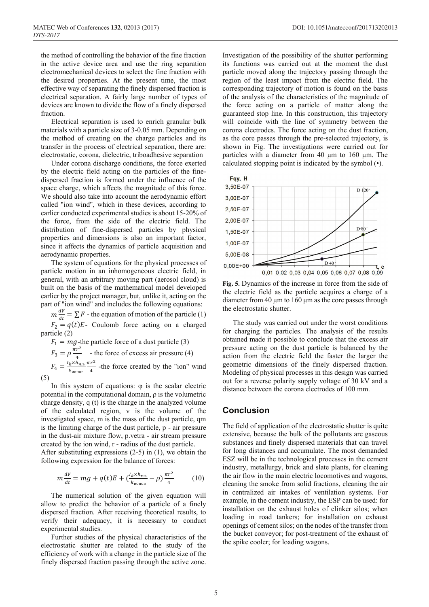the method of controlling the behavior of the fine fraction in the active device area and use the ring separation electromechanical devices to select the fine fraction with the desired properties. At the present time, the most effective way of separating the finely dispersed fraction is electrical separation. A fairly large number of types of devices are known to divide the flow of a finely dispersed fraction.

Electrical separation is used to enrich granular bulk materials with a particle size of 3-0.05 mm. Depending on the method of creating on the charge particles and its transfer in the process of electrical separation, there are: electrostatic, corona, dielectric, triboadhesive separation

Under corona discharge conditions, the force exerted by the electric field acting on the particles of the finedispersed fraction is formed under the influence of the space charge, which affects the magnitude of this force. We should also take into account the aerodynamic effort called "ion wind", which in these devices, according to earlier conducted experimental studies is about 15-20% of the force, from the side of the electric field. The distribution of fine-dispersed particles by physical properties and dimensions is also an important factor, since it affects the dynamics of particle acquisition and aerodynamic properties.

The system of equations for the physical processes of particle motion in an inhomogeneous electric field, in general, with an arbitrary moving part (aerosol cloud) is built on the basis of the mathematical model developed earlier by the project manager, but, unlike it, acting on the part of "ion wind" and includes the following equations:

 $m \frac{dv}{dt} = \sum F$  - the equation of motion of the particle (1)  $F_2 = q(t)E$ - Coulomb force acting on a charged particle (2)

 $F_1 = mg$ -the particle force of a dust particle (3)  $F_3 = \rho \frac{\pi r^2}{4}$  - the force of excess air pressure (4)

 $F_4 = \frac{I_k \times h_{\text{M.3}}}{k_{\text{HOHOB}}}$  $\frac{\pi r^2}{4}$  -the force created by the "ion" wind (5)

In this system of equations:  $\varphi$  is the scalar electric potential in the computational domain, ρ is the volumetric charge density, q (t) is the charge in the analyzed volume of the calculated region, v is the volume of the investigated space, m is the mass of the dust particle, qm is the limiting charge of the dust particle, p - air pressure in the dust-air mixture flow, p.vetra - air stream pressure created by the ion wind, r - radius of the dust particle.

After substituting expressions (2-5) in (1), we obtain the following expression for the balance of forces:

$$
m\frac{dV}{dt} = mg + q(t)E + \left(\frac{l_k \times h_{\text{M},3}}{k_{\text{non}} - \rho}\right)\frac{\pi r^2}{4} \tag{10}
$$

The numerical solution of the given equation will allow to predict the behavior of a particle of a finely dispersed fraction. After receiving theoretical results, to verify their adequacy, it is necessary to conduct experimental studies.

Further studies of the physical characteristics of the electrostatic shutter are related to the study of the efficiency of work with a change in the particle size of the finely dispersed fraction passing through the active zone.

Investigation of the possibility of the shutter performing its functions was carried out at the moment the dust particle moved along the trajectory passing through the region of the least impact from the electric field. The corresponding trajectory of motion is found on the basis of the analysis of the characteristics of the magnitude of the force acting on a particle of matter along the guaranteed stop line. In this construction, this trajectory will coincide with the line of symmetry between the corona electrodes. The force acting on the dust fraction, as the core passes through the pre-selected trajectory, is shown in Fig. The investigations were carried out for particles with a diameter from 40 μm to 160 μm. The calculated stopping point is indicated by the symbol (•).



**Fig. 5.** Dynamics of the increase in force from the side of the electric field as the particle acquires a charge of a diameter from 40 μm to 160 μm as the core passes through the electrostatic shutter.

The study was carried out under the worst conditions for charging the particles. The analysis of the results obtained made it possible to conclude that the excess air pressure acting on the dust particle is balanced by the action from the electric field the faster the larger the geometric dimensions of the finely dispersed fraction. Modeling of physical processes in this design was carried out for a reverse polarity supply voltage of 30 kV and a distance between the corona electrodes of 100 mm.

## **Conclusion**

The field of application of the electrostatic shutter is quite extensive, because the bulk of the pollutants are gaseous substances and finely dispersed materials that can travel for long distances and accumulate. The most demanded ESZ will be in the technological processes in the cement industry, metallurgy, brick and slate plants, for cleaning the air flow in the main electric locomotives and wagons, cleaning the smoke from solid fractions, cleaning the air in centralized air intakes of ventilation systems. For example, in the cement industry, the ESP can be used: for installation on the exhaust holes of clinker silos; when loading in road tankers; for installation on exhaust openings of cement silos; on the nodes of the transfer from the bucket conveyor; for post-treatment of the exhaust of the spike cooler; for loading wagons.